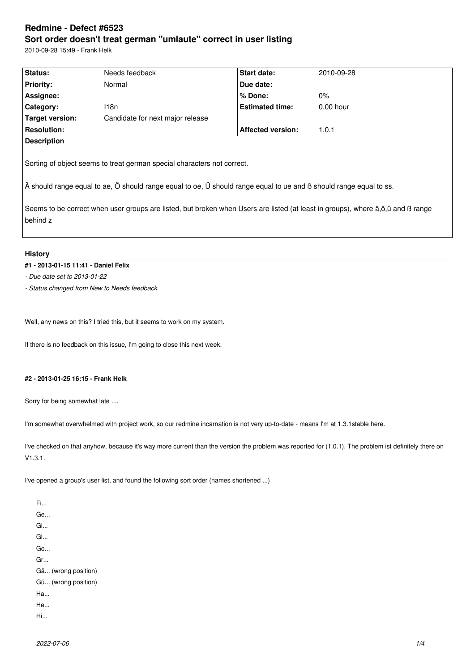# **Redmine - Defect #6523 Sort order doesn't treat german "umlaute" correct in user listing**

2010-09-28 15:49 - Frank Helk

| Status:            | Needs feedback                   | <b>Start date:</b>       | 2010-09-28  |
|--------------------|----------------------------------|--------------------------|-------------|
| <b>Priority:</b>   | Normal                           | Due date:                |             |
| Assignee:          |                                  | ∣% Done:                 | $0\%$       |
| <b>Category:</b>   | 118n                             | <b>Estimated time:</b>   | $0.00$ hour |
| Target version:    | Candidate for next major release |                          |             |
| <b>Resolution:</b> |                                  | <b>Affected version:</b> | 1.0.1       |
| <b>Description</b> |                                  |                          |             |
|                    |                                  |                          |             |

Sorting of object seems to treat german special characters not correct.

Ä should range equal to ae, Ö should range equal to oe, Ü should range equal to ue and ß should range equal to ss.

Seems to be correct when user groups are listed, but broken when Users are listed (at least in groups), where ä,ö,ü and ß range behind z

# **History**

# **#1 - 2013-01-15 11:41 - Daniel Felix**

*- Due date set to 2013-01-22*

*- Status changed from New to Needs feedback*

Well, any news on this? I tried this, but it seems to work on my system.

If there is no feedback on this issue, I'm going to close this next week.

# **#2 - 2013-01-25 16:15 - Frank Helk**

Sorry for being somewhat late ....

I'm somewhat overwhelmed with project work, so our redmine incarnation is not very up-to-date - means I'm at 1.3.1stable here.

I've checked on that anyhow, because it's way more current than the version the problem was reported for (1.0.1). The problem ist definitely there on V1.3.1.

I've opened a group's user list, and found the following sort order (names shortened ...)

Fi... Ge... Gi... Gl... Go... Gr... Gä... (wrong position) Gü... (wrong position) Ha... He... Hi...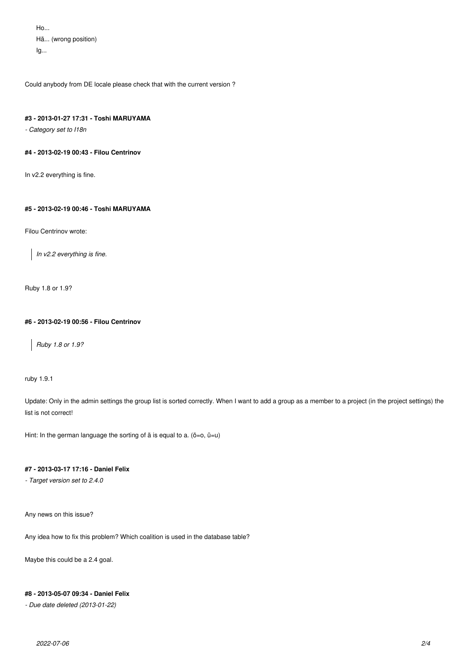$H_0$ ... Hä... (wrong position)  $lg...$ 

Could anybody from DE locale please check that with the current version ?

## **#3 - 2013-01-27 17:31 - Toshi MARUYAMA**

*- Category set to I18n*

# **#4 - 2013-02-19 00:43 - Filou Centrinov**

In v2.2 everything is fine.

# **#5 - 2013-02-19 00:46 - Toshi MARUYAMA**

Filou Centrinov wrote:

*In v2.2 everything is fine.*

Ruby 1.8 or 1.9?

# **#6 - 2013-02-19 00:56 - Filou Centrinov**

*Ruby 1.8 or 1.9?*

ruby 1.9.1

Update: Only in the admin settings the group list is sorted correctly. When I want to add a group as a member to a project (in the project settings) the list is not correct!

Hint: In the german language the sorting of  $\ddot{a}$  is equal to a. ( $\ddot{o} = o$ ,  $\ddot{u} = u$ )

# **#7 - 2013-03-17 17:16 - Daniel Felix**

*- Target version set to 2.4.0*

Any news on this issue?

Any idea how to fix this problem? Which coalition is used in the database table?

Maybe this could be a 2.4 goal.

# **#8 - 2013-05-07 09:34 - Daniel Felix**

*- Due date deleted (2013-01-22)*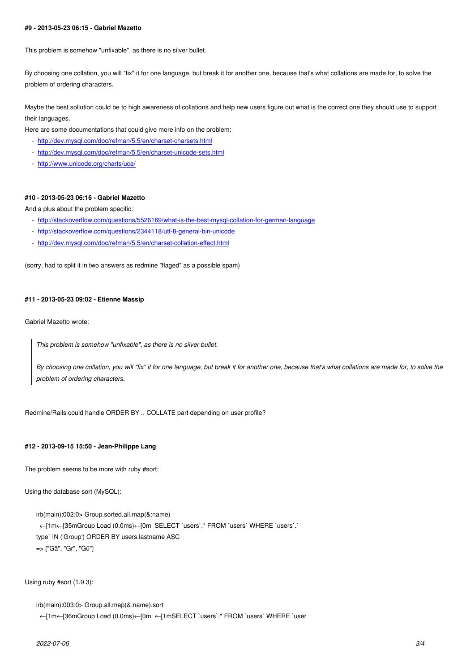This problem is somehow "unfixable", as there is no silver bullet.

By choosing one collation, you will "fix" it for one language, but break it for another one, because that's what collations are made for, to solve the problem of ordering characters.

Maybe the best sollution could be to high awareness of collations and help new users figure out what is the correct one they should use to support their languages.

Here are some documentations that could give more info on the problem:

- http://dev.mysql.com/doc/refman/5.5/en/charset-charsets.html
- http://dev.mysql.com/doc/refman/5.5/en/charset-unicode-sets.html
- http://www.unicode.org/charts/uca/

#### **#10 [- 2013-05-23 06:16 - Gabriel Mazetto](http://dev.mysql.com/doc/refman/5.5/en/charset-unicode-sets.html)**

And [a plus about the problem specific:](http://www.unicode.org/charts/uca/)

- http://stackoverflow.com/questions/5526169/what-is-the-best-mysql-collation-for-german-language
- http://stackoverflow.com/questions/2344118/utf-8-general-bin-unicode
- http://dev.mysql.com/doc/refman/5.5/en/charset-collation-effect.html

(sor[ry, had to split it in two answers as redmine "flaged" as a possible spam](http://stackoverflow.com/questions/2344118/utf-8-general-bin-unicode)[\)](http://stackoverflow.com/questions/5526169/what-is-the-best-mysql-collation-for-german-language)

#### **#11 - 2013-05-23 09:02 - Etienne Massip**

Gabriel Mazetto wrote:

*This problem is somehow "unfixable", as there is no silver bullet.*

*By choosing one collation, you will "fix" it for one language, but break it for another one, because that's what collations are made for, to solve the problem of ordering characters.*

Redmine/Rails could handle ORDER BY .. COLLATE part depending on user profile?

### **#12 - 2013-09-15 15:50 - Jean-Philippe Lang**

The problem seems to be more with ruby #sort:

Using the database sort (MySQL):

```
irb(main):002:0> Group.sorted.all.map(&:name)
 ←[1m←[35mGroup Load (0.0ms)←[0m SELECT `users`.* FROM `users` WHERE `users`.`
type` IN ('Group') ORDER BY users.lastname ASC
=> ["Gä", "Gr", "Gü"]
```
Using ruby #sort (1.9.3):

irb(main):003:0> Group.all.map(&:name).sort

←[1m←[36mGroup Load (0.0ms)←[0m ←[1mSELECT `users`.\* FROM `users` WHERE `user